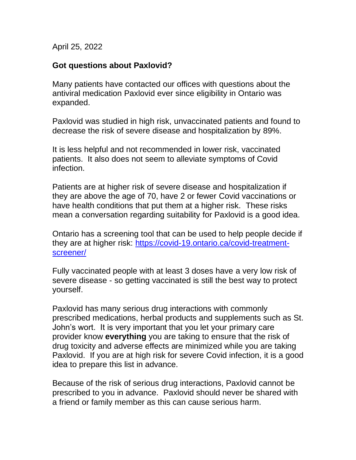April 25, 2022

## **Got questions about Paxlovid?**

Many patients have contacted our offices with questions about the antiviral medication Paxlovid ever since eligibility in Ontario was expanded.

Paxlovid was studied in high risk, unvaccinated patients and found to decrease the risk of severe disease and hospitalization by 89%.

It is less helpful and not recommended in lower risk, vaccinated patients. It also does not seem to alleviate symptoms of Covid infection.

Patients are at higher risk of severe disease and hospitalization if they are above the age of 70, have 2 or fewer Covid vaccinations or have health conditions that put them at a higher risk. These risks mean a conversation regarding suitability for Paxlovid is a good idea.

Ontario has a screening tool that can be used to help people decide if they are at higher risk: [https://covid-19.ontario.ca/covid-treatment](https://covid-19.ontario.ca/covid-treatment-screener/)[screener/](https://covid-19.ontario.ca/covid-treatment-screener/)

Fully vaccinated people with at least 3 doses have a very low risk of severe disease - so getting vaccinated is still the best way to protect yourself.

Paxlovid has many serious drug interactions with commonly prescribed medications, herbal products and supplements such as St. John's wort. It is very important that you let your primary care provider know **everything** you are taking to ensure that the risk of drug toxicity and adverse effects are minimized while you are taking Paxlovid. If you are at high risk for severe Covid infection, it is a good idea to prepare this list in advance.

Because of the risk of serious drug interactions, Paxlovid cannot be prescribed to you in advance. Paxlovid should never be shared with a friend or family member as this can cause serious harm.